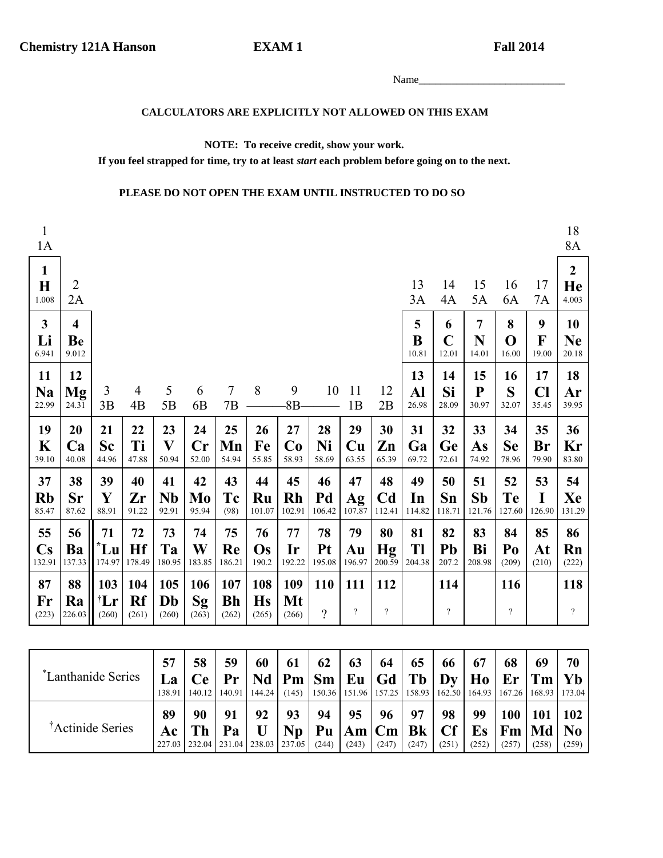#### CALCULATORS ARE EXPLICITLY NOT ALLOWED ON THIS EXAM

### NOTE: To receive credit, show your work.

If you feel strapped for time, try to at least start each problem before going on to the next.

### PLEASE DO NOT OPEN THE EXAM UNTIL INSTRUCTED TO DO SO

**EXAM1** 

| $\mathbf{1}$<br>1A                     |                                        |                                 |                           |                          |                     |                           |                           |                           |                                 |                                 |                                |                    |                                 |                              |                                 |                   | 18<br>8A                      |
|----------------------------------------|----------------------------------------|---------------------------------|---------------------------|--------------------------|---------------------|---------------------------|---------------------------|---------------------------|---------------------------------|---------------------------------|--------------------------------|--------------------|---------------------------------|------------------------------|---------------------------------|-------------------|-------------------------------|
| $\mathbf{1}$<br>$\mathbf H$<br>1.008   | $\overline{c}$<br>2A                   |                                 |                           |                          |                     |                           |                           |                           |                                 |                                 |                                | 13<br>3A           | 14<br>4A                        | 15<br>5A                     | 16<br>6A                        | 17<br>7A          | $\overline{2}$<br>He<br>4.003 |
| $\mathbf{3}$<br>Li<br>6.941            | $\overline{\mathbf{4}}$<br>Be<br>9.012 |                                 |                           |                          |                     |                           |                           |                           |                                 |                                 |                                | 5<br>B<br>10.81    | 6<br>$\mathbf C$<br>12.01       | $\overline{7}$<br>N<br>14.01 | 8<br>$\mathbf 0$<br>16.00       | 9<br>F<br>19.00   | 10<br><b>Ne</b><br>20.18      |
| 11<br><b>Na</b><br>22.99               | 12<br><b>Mg</b><br>24.31               | 3<br>3B                         | $\overline{4}$<br>4B      | 5<br>5B                  | 6<br>6 <sub>B</sub> | $\tau$<br>7B              | 8                         | 9<br>$8B -$               | 10                              | 11<br>1B                        | 12<br>2B                       | 13<br>Al<br>26.98  | 14<br>Si<br>28.09               | 15<br>${\bf P}$<br>30.97     | 16<br>S<br>32.07                | 17<br>Cl<br>35.45 | 18<br>Ar<br>39.95             |
| 19<br>K<br>39.10                       | 20<br>Ca<br>40.08                      | 21<br><b>Sc</b>                 | 22<br>Ti                  | 23<br>$\mathbf{V}$       | 24<br>$\mathbf{Cr}$ | 25<br>Mn                  | 26<br>Fe                  | 27<br>Co                  | 28<br>Ni                        | 29<br>$\mathbf{C}\mathbf{u}$    | 30<br>Zn                       | 31<br>Ga           | 32<br>Ge                        | 33<br>As                     | 34<br><b>Se</b>                 | 35<br>Br          | 36<br>Kr                      |
|                                        |                                        | 44.96                           | 47.88                     | 50.94                    | 52.00               | 54.94                     | 55.85                     | 58.93                     | 58.69                           | 63.55                           | 65.39                          | 69.72              | 72.61                           | 74.92                        | 78.96                           | 79.90             | 83.80                         |
| 37<br><b>Rb</b><br>85.47               | 38<br><b>Sr</b><br>87.62               | 39<br>Y<br>88.91                | 40<br>Zr<br>91.22         | 41<br><b>Nb</b><br>92.91 | 42<br>Mo<br>95.94   | 43<br>Tc<br>(98)          | 44<br>Ru<br>101.07        | 45<br><b>Rh</b><br>102.91 | 46<br>Pd<br>106.42              | 47<br>Ag<br>107.87              | 48<br>C <sub>d</sub><br>112.41 | 49<br>In<br>114.82 | 50<br>Sn<br>118.71              | 51<br><b>Sb</b><br>121.76    | 52<br><b>Te</b><br>127.60       | 53<br>I<br>126.90 | 54<br>Xe<br>131.29            |
| 55<br>$\mathbf{C}\mathbf{s}$<br>132.91 | 56<br>Ba<br>137.33                     | 71<br>'Lu<br>174.97             | 72<br>Hf<br>178.49        | 73<br>Ta<br>180.95       | 74<br>W<br>183.85   | 75<br>Re<br>186.21        | 76<br>Os<br>190.2         | 77<br>Ir<br>192.22        | 78<br>Pt<br>195.08              | 79<br>Au<br>196.97              | 80<br>Hg<br>200.59             | 81<br>Tl<br>204.38 | 82<br>Pb<br>207.2               | 83<br>Bi<br>208.98           | 84<br>Po<br>(209)               | 85<br>At<br>(210) | 86<br>Rn<br>(222)             |
| 87<br>Fr<br>(223)                      | 88<br>Ra<br>226.03                     | 103<br>$^{\dagger}$ Lr<br>(260) | 104<br><b>Rf</b><br>(261) | 105<br>Db<br>(260)       | 106<br>Sg<br>(263)  | 107<br><b>Bh</b><br>(262) | 108<br><b>Hs</b><br>(265) | 109<br>Mt<br>(266)        | 110<br>$\overline{\mathcal{C}}$ | 111<br>$\overline{\mathcal{L}}$ | 112<br>$\overline{?}$          |                    | 114<br>$\overline{\mathcal{L}}$ |                              | 116<br>$\overline{\mathcal{L}}$ |                   | 118<br>$\overline{?}$         |

| *Lanthanide Series           | 57<br>La<br>138.91 | 58<br><b>Ce</b>                                  | 59<br>Pr<br>140.12   140.91   144.24 | 60      | 61       | 62          | 63          | 64<br>$Nd$   Pm   Sm   Eu   Gd   Tb   Dy            | 65          | 66                | 67<br>$\vert$ H <sub>0</sub> $\vert$ Er $\vert$ Tm $\vert$ Yb<br>$(145)$   150.36   151.96   157.25   158.93   162.50   164.93   167.26   168.93   173.04 | 68                                                      | 69                  | 70           |
|------------------------------|--------------------|--------------------------------------------------|--------------------------------------|---------|----------|-------------|-------------|-----------------------------------------------------|-------------|-------------------|-----------------------------------------------------------------------------------------------------------------------------------------------------------|---------------------------------------------------------|---------------------|--------------|
| <sup>†</sup> Actinide Series | 89<br>Ac           | 90<br>227.03   232.04   231.04   238.03   237.05 | 91<br>Pa                             | 92<br>U | 93<br>Np | 94<br>(244) | 95<br>(243) | 96<br>$P$ u $ \text{Am} $ Cm $ \text{Bk} $<br>(247) | 97<br>(247) | 98<br>Cf<br>(251) | 99<br>Es<br>(252)                                                                                                                                         | 100<br>$ \mathbf{Fm} \mathbf{Md} \mathbf{No} $<br>(257) | <b>101</b><br>(258) | 102<br>(259) |

Name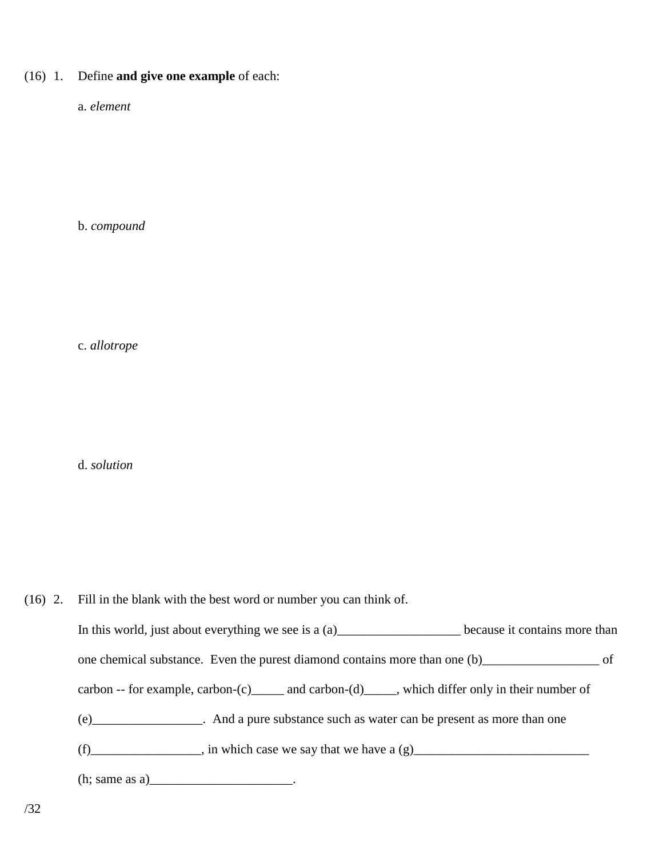## (16) 1. Define **and give one example** of each:

a. *element*

b. *compound*

c. *allotrope*

d. *solution*

(16) 2. Fill in the blank with the best word or number you can think of. In this world, just about everything we see is a (a)\_\_\_\_\_\_\_\_\_\_\_\_\_\_\_\_\_\_\_\_\_\_\_\_\_ because it contains more than one chemical substance. Even the purest diamond contains more than one (b)\_\_\_\_\_\_\_\_\_\_\_\_\_\_\_\_\_\_ of carbon -- for example, carbon-(c)\_\_\_\_\_ and carbon-(d)\_\_\_\_\_, which differ only in their number of (e)\_\_\_\_\_\_\_\_\_\_\_\_\_\_\_\_\_. And a pure substance such as water can be present as more than one  $(f)$   $\longrightarrow$  in which case we say that we have a (g) (h; same as a)\_\_\_\_\_\_\_\_\_\_\_\_\_\_\_\_\_\_\_\_\_\_\_\_\_\_. /32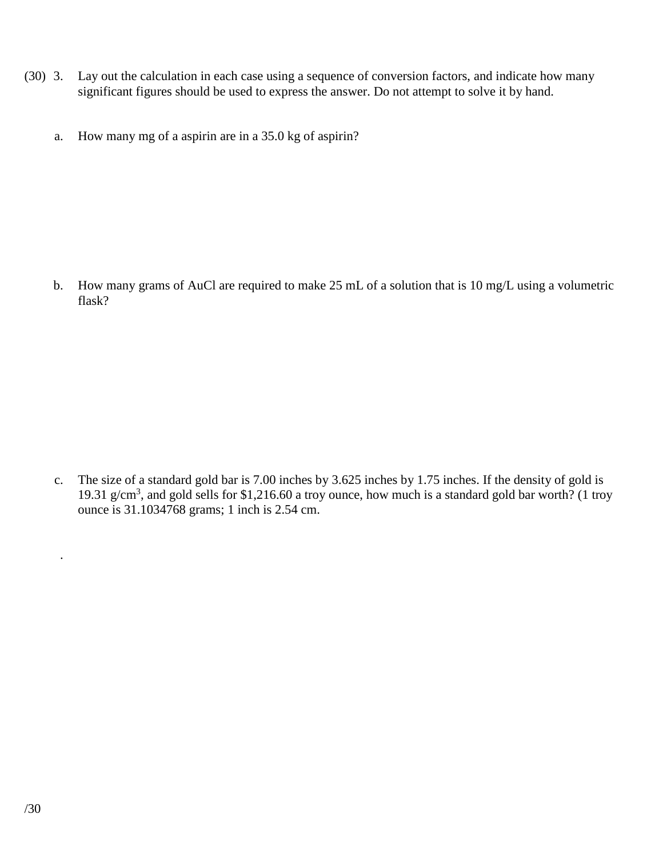- (30) 3. Lay out the calculation in each case using a sequence of conversion factors, and indicate how many significant figures should be used to express the answer. Do not attempt to solve it by hand.
	- a. How many mg of a aspirin are in a 35.0 kg of aspirin?

b. How many grams of AuCl are required to make 25 mL of a solution that is 10 mg/L using a volumetric flask?

 c. The size of a standard gold bar is 7.00 inches by 3.625 inches by 1.75 inches. If the density of gold is 19.31 g/cm<sup>3</sup>, and gold sells for \$1,216.60 a troy ounce, how much is a standard gold bar worth? (1 troy ounce is 31.1034768 grams; 1 inch is 2.54 cm.

.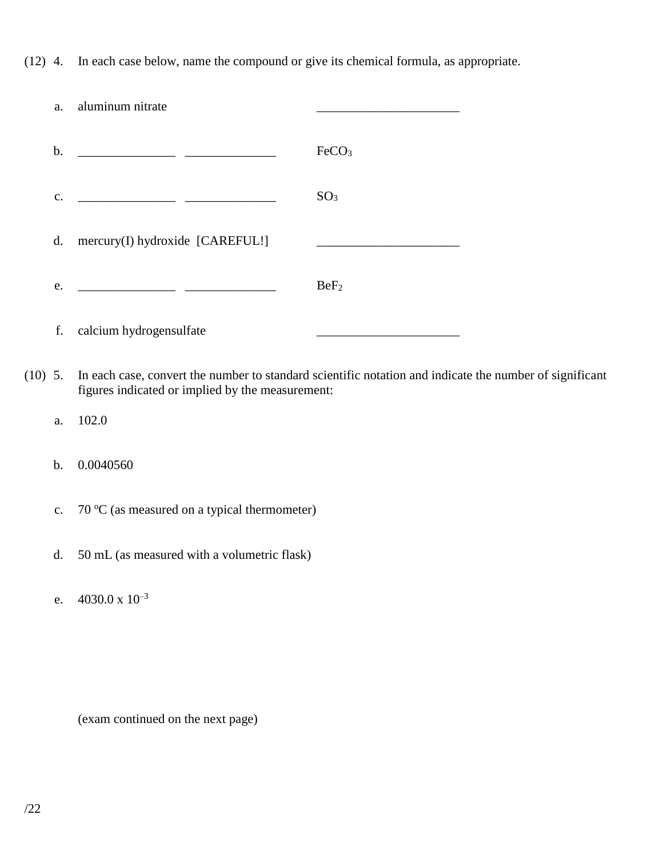(12) 4. In each case below, name the compound or give its chemical formula, as appropriate.

| a.            | aluminum nitrate                                                                                                      |                   |
|---------------|-----------------------------------------------------------------------------------------------------------------------|-------------------|
| b.            | <u> 1980 - Johann Barn, mars eta bainar eta industrial eta industrial eta industrial eta industrial eta industria</u> | FeCO <sub>3</sub> |
| $C_{\bullet}$ |                                                                                                                       | SO <sub>3</sub>   |
| d.            | mercury(I) hydroxide [CAREFUL!]                                                                                       |                   |
| e.            | <u> 1989 - Johann Harry Harry Harry Harry Harry Harry Harry Harry Harry Harry Harry Harry Harry Harry Harry Harry</u> | BeF <sub>2</sub>  |
| f.            | calcium hydrogensulfate                                                                                               |                   |
|               |                                                                                                                       |                   |

(10) 5. In each case, convert the number to standard scientific notation and indicate the number of significant figures indicated or implied by the measurement:

a. 102.0

# b. 0.0040560

- c.  $70 \degree C$  (as measured on a typical thermometer)
- d. 50 mL (as measured with a volumetric flask)
- e.  $4030.0 \times 10^{-3}$

(exam continued on the next page)